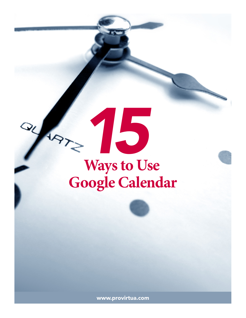



www.provirtua.com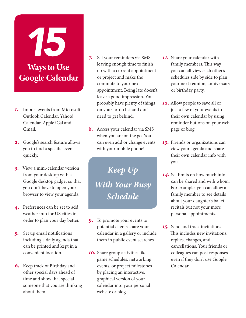# **Ways to Use Google Calendar**

*15*

- *1.* Import events from Microsoft Outlook Calendar, Yahoo! Calendar, Apple iCal and Gmail.
- *2.* Google's search feature allows you to find a specific event quickly.
- *3.* View a mini-calendar version from your desktop with a Google desktop gadget so that you don't have to open your browser to view your agenda.
- *4.* Preferences can be set to add weather info for US cities in order to plan your day better.
- *5.* Set up email notifications including a daily agenda that can be printed and kept in a convenient location.
- *6.* Keep track of Birthday and other special days ahead of time and show that special someone that you are thinking about them.
- *7.* Set your reminders via SMS leaving enough time to finish up with a current appointment or project and make the commute to your next appointment. Being late doesn't leave a good impression. You probably have plenty of things on your to-do list and don't need to get behind.
- *8.* Access your calendar via SMS when you are on the go. You can even add or change events with your mobile phone!

*Keep Up With Your Busy Schedule*

- *9.* To promote your events to potential clients share your calendar in a gallery or include them in public event searches.
- *10.* Share group activities like game schedules, networking events, or project milestones by placing an interactive, graphical version of your calendar into your personal website or blog.
- *11.* Share your calendar with family members. This way you can all view each other's schedules side by side to plan your next reunion, anniversary or birthday party.
- *12.* Allow people to save all or just a few of your events to their own calendar by using reminder buttons on your web page or blog.
- *13.* Friends or organizations can view your agenda and share their own calendar info with you.
- *14.* Set limits on how much info can be shared and with whom. For example, you can allow a family member to see details about your daughter's ballet recitals but not your more personal appointments.
- *15.* Send and track invitations. This includes new invitations, replies, changes, and cancellations. Your friends or colleagues can post responses even if they don't use Google Calendar.